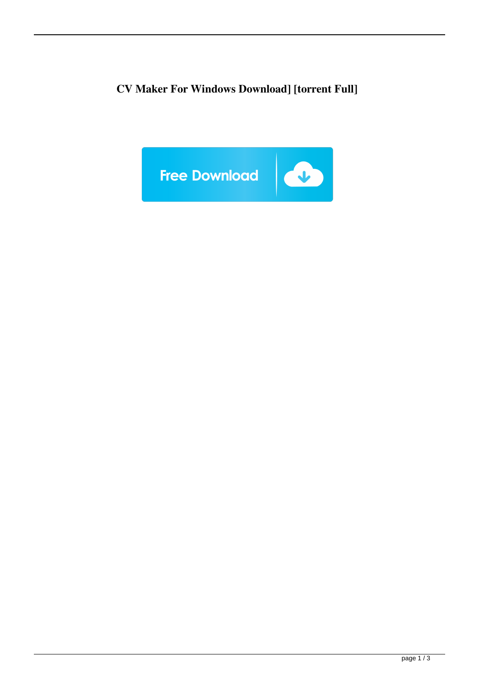**CV Maker For Windows Download] [torrent Full]**

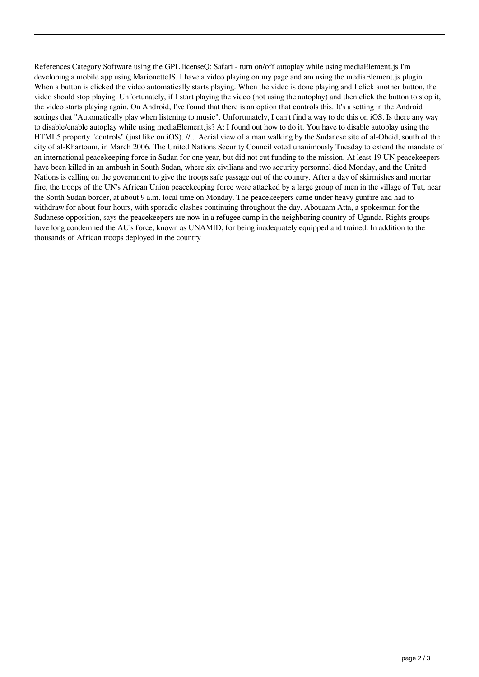References Category:Software using the GPL licenseQ: Safari - turn on/off autoplay while using mediaElement.js I'm developing a mobile app using MarionetteJS. I have a video playing on my page and am using the mediaElement is plugin. When a button is clicked the video automatically starts playing. When the video is done playing and I click another button, the video should stop playing. Unfortunately, if I start playing the video (not using the autoplay) and then click the button to stop it, the video starts playing again. On Android, I've found that there is an option that controls this. It's a setting in the Android settings that "Automatically play when listening to music". Unfortunately, I can't find a way to do this on iOS. Is there any way to disable/enable autoplay while using mediaElement.js? A: I found out how to do it. You have to disable autoplay using the HTML5 property "controls" (just like on iOS). //... Aerial view of a man walking by the Sudanese site of al-Obeid, south of the city of al-Khartoum, in March 2006. The United Nations Security Council voted unanimously Tuesday to extend the mandate of an international peacekeeping force in Sudan for one year, but did not cut funding to the mission. At least 19 UN peacekeepers have been killed in an ambush in South Sudan, where six civilians and two security personnel died Monday, and the United Nations is calling on the government to give the troops safe passage out of the country. After a day of skirmishes and mortar fire, the troops of the UN's African Union peacekeeping force were attacked by a large group of men in the village of Tut, near the South Sudan border, at about 9 a.m. local time on Monday. The peacekeepers came under heavy gunfire and had to withdraw for about four hours, with sporadic clashes continuing throughout the day. Abouaam Atta, a spokesman for the Sudanese opposition, says the peacekeepers are now in a refugee camp in the neighboring country of Uganda. Rights groups have long condemned the AU's force, known as UNAMID, for being inadequately equipped and trained. In addition to the thousands of African troops deployed in the country